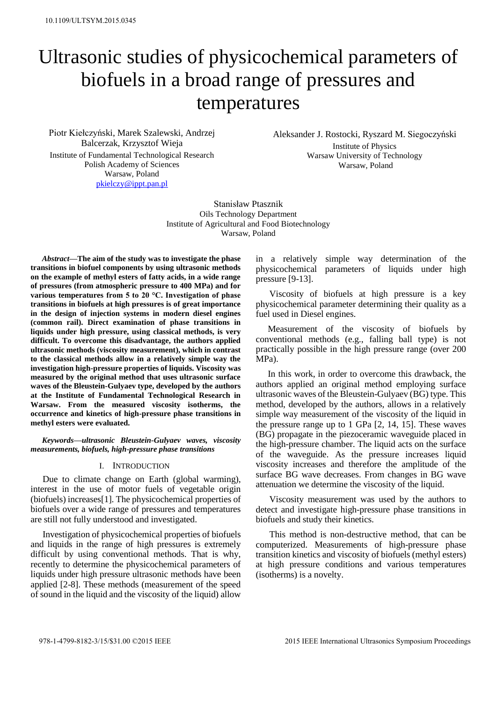# Ultrasonic studies of physicochemical parameters of biofuels in a broad range of pressures and temperatures

Piotr Kiełczyński, Marek Szalewski, Andrzej Balcerzak, Krzysztof Wieja Institute of Fundamental Technological Research Polish Academy of Sciences Warsaw, Poland [pkielczy@ippt.pan.pl](mailto:pkielczy@ippt.pan.pl)

Aleksander J. Rostocki, Ryszard M. Siegoczyński Institute of Physics Warsaw University of Technology Warsaw, Poland

Stanisław Ptasznik Oils Technology Department Institute of Agricultural and Food Biotechnology Warsaw, Poland

*Abstract***—The aim of the study was to investigate the phase transitions in biofuel components by using ultrasonic methods on the example of methyl esters of fatty acids, in a wide range of pressures (from atmospheric pressure to 400 MPa) and for various temperatures from 5 to 20 °C. Investigation of phase transitions in biofuels at high pressures is of great importance in the design of injection systems in modern diesel engines (common rail). Direct examination of phase transitions in liquids under high pressure, using classical methods, is very difficult. To overcome this disadvantage, the authors applied ultrasonic methods (viscosity measurement), which in contrast to the classical methods allow in a relatively simple way the investigation high-pressure properties of liquids. Viscosity was measured by the original method that uses ultrasonic surface waves of the Bleustein-Gulyaev type, developed by the authors at the Institute of Fundamental Technological Research in Warsaw. From the measured viscosity isotherms, the occurrence and kinetics of high-pressure phase transitions in methyl esters were evaluated.** 

*Keywords—ultrasonic Bleustein-Gulyaev waves, viscosity measurements, biofuels, high-pressure phase transitions* 

## I. INTRODUCTION

Due to climate change on Earth (global warming), interest in the use of motor fuels of vegetable origin (biofuels) increases[1]. The physicochemical properties of biofuels over a wide range of pressures and temperatures are still not fully understood and investigated.

Investigation of physicochemical properties of biofuels and liquids in the range of high pressures is extremely difficult by using conventional methods. That is why, recently to determine the physicochemical parameters of liquids under high pressure ultrasonic methods have been applied [2-8]. These methods (measurement of the speed of sound in the liquid and the viscosity of the liquid) allow

in a relatively simple way determination of the physicochemical parameters of liquids under high pressure [9-13].

 Viscosity of biofuels at high pressure is a key physicochemical parameter determining their quality as a fuel used in Diesel engines.

Measurement of the viscosity of biofuels by conventional methods (e.g., falling ball type) is not practically possible in the high pressure range (over 200 MPa).

In this work, in order to overcome this drawback, the authors applied an original method employing surface ultrasonic waves of the Bleustein-Gulyaev (BG) type. This method, developed by the authors, allows in a relatively simple way measurement of the viscosity of the liquid in the pressure range up to 1 GPa [2, 14, 15]. These waves (BG) propagate in the piezoceramic waveguide placed in the high-pressure chamber. The liquid acts on the surface of the waveguide. As the pressure increases liquid viscosity increases and therefore the amplitude of the surface BG wave decreases. From changes in BG wave attenuation we determine the viscosity of the liquid.

 Viscosity measurement was used by the authors to detect and investigate high-pressure phase transitions in biofuels and study their kinetics.

 This method is non-destructive method, that can be computerized. Measurements of high-pressure phase transition kinetics and viscosity of biofuels (methyl esters) at high pressure conditions and various temperatures (isotherms) is a novelty.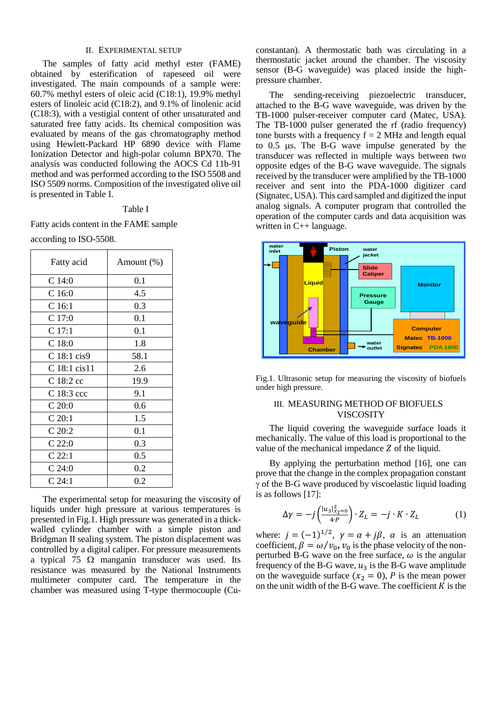## II. EXPERIMENTAL SETUP

The samples of fatty acid methyl ester (FAME) obtained by esterification of rapeseed oil were investigated. The main compounds of a sample were: 60.7% methyl esters of oleic acid (C18:1), 19.9% methyl esters of linoleic acid (C18:2), and 9.1% of linolenic acid (C18:3), with a vestigial content of other unsaturated and saturated free fatty acids. Its chemical composition was evaluated by means of the gas chromatography method using Hewlett-Packard HP 6890 device with Flame Ionization Detector and high-polar column BPX70. The analysis was conducted following the AOCS Cd 11b-91 method and was performed according to the ISO 5508 and ISO 5509 norms. Composition of the investigated olive oil is presented in Table I.

## Table I

Fatty acids content in the FAME sample

| according to ISO-5508. |  |  |
|------------------------|--|--|
|                        |  |  |

| Fatty acid        | Amount $(\%)$ |  |
|-------------------|---------------|--|
| C14:0             | 0.1           |  |
| C <sub>16:0</sub> | 4.5           |  |
| C 16:1            | 0.3           |  |
| C17:0             | 0.1           |  |
| C 17:1            | 0.1           |  |
| C18:0             | 1.8           |  |
| C 18:1 cis9       | 58.1          |  |
| C 18:1 cis11      | 2.6           |  |
| C 18:2 cc         | 19.9          |  |
| C 18:3 ccc        | 9.1           |  |
| C 20:0            | 0.6           |  |
| C 20:1            | 1.5           |  |
| C20:2             | 0.1           |  |
| C22:0             | 0.3           |  |
| C 22:1            | 0.5           |  |
| C24:0             | 0.2           |  |
| $C_24:1$          | 0.2           |  |

The experimental setup for measuring the viscosity of liquids under high pressure at various temperatures is presented in Fig.1. High pressure was generated in a thickwalled cylinder chamber with a simple piston and Bridgman II sealing system. The piston displacement was controlled by a digital caliper. For pressure measurements a typical 75  $\Omega$  manganin transducer was used. Its resistance was measured by the National Instruments multimeter computer card. The temperature in the chamber was measured using T-type thermocouple (Cuconstantan). A thermostatic bath was circulating in a thermostatic jacket around the chamber. The viscosity sensor (B-G waveguide) was placed inside the highpressure chamber.

 The sending-receiving piezoelectric transducer, attached to the B-G wave waveguide, was driven by the TB-1000 pulser-receiver computer card (Matec, USA). The TB-1000 pulser generated the rf (radio frequency) tone bursts with a frequency  $f = 2$  MHz and length equal to  $0.5$   $\mu$ s. The B-G wave impulse generated by the transducer was reflected in multiple ways between two opposite edges of the B-G wave waveguide. The signals received by the transducer were amplified by the TB-1000 receiver and sent into the PDA-1000 digitizer card (Signatec, USA). This card sampled and digitized the input analog signals. A computer program that controlled the operation of the computer cards and data acquisition was written in C++ language.



Fig.1. Ultrasonic setup for measuring the viscosity of biofuels under high pressure.

## III. MEASURING METHOD OF BIOFUELS VISCOSITY

The liquid covering the waveguide surface loads it mechanically. The value of this load is proportional to the value of the mechanical impedance  $Z$  of the liquid.

 By applying the perturbation method [16], one can prove that the change in the complex propagation constant  $\gamma$  of the B-G wave produced by viscoelastic liquid loading is as follows [17]:

$$
\Delta \gamma = -j \left( \frac{|u_3|_{x_2=0}^2}{4 \cdot P} \right) \cdot Z_L = -j \cdot K \cdot Z_L \tag{1}
$$

where:  $j = (-1)^{1/2}$ ,  $\gamma = \alpha + j\beta$ ,  $\alpha$  is an attenuation coefficient,  $\beta = \omega/v_0$ ,  $v_0$  is the phase velocity of the nonperturbed B-G wave on the free surface,  $\omega$  is the angular frequency of the B-G wave,  $u_3$  is the B-G wave amplitude on the waveguide surface  $(x_2 = 0)$ , P is the mean power on the unit width of the B-G wave. The coefficient  $K$  is the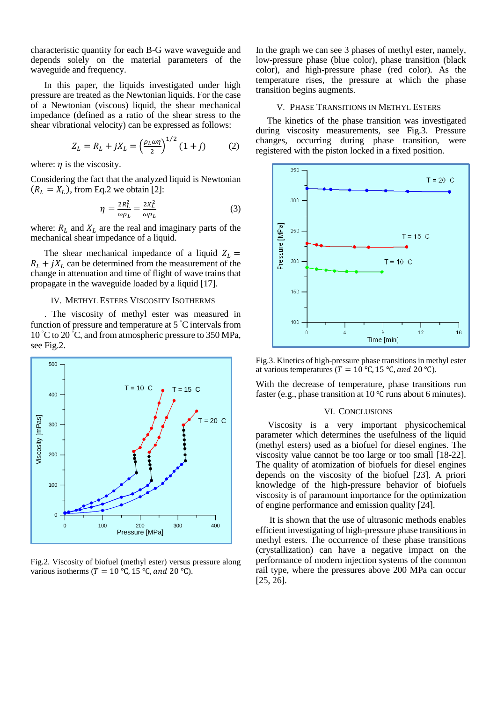characteristic quantity for each B-G wave waveguide and depends solely on the material parameters of the waveguide and frequency.

 In this paper, the liquids investigated under high pressure are treated as the Newtonian liquids. For the case of a Newtonian (viscous) liquid, the shear mechanical impedance (defined as a ratio of the shear stress to the shear vibrational velocity) can be expressed as follows:

$$
Z_L = R_L + jX_L = \left(\frac{\rho_L \omega \eta}{2}\right)^{1/2} (1+j) \tag{2}
$$

where:  $n$  is the viscosity.

Considering the fact that the analyzed liquid is Newtonian  $(R_L = X_L)$ , from Eq.2 we obtain [2]:

$$
\eta = \frac{2R_L^2}{\omega \rho_L} = \frac{2X_L^2}{\omega \rho_L} \tag{3}
$$

where:  $R_L$  and  $X_L$  are the real and imaginary parts of the mechanical shear impedance of a liquid.

The shear mechanical impedance of a liquid  $Z_L =$  $R_L + iX_L$  can be determined from the measurement of the change in attenuation and time of flight of wave trains that propagate in the waveguide loaded by a liquid [17].

### IV. METHYL ESTERS VISCOSITY ISOTHERMS

 . The viscosity of methyl ester was measured in function of pressure and temperature at  $5^{\degree}$ C intervals from 10 °C to 20 °C, and from atmospheric pressure to 350 MPa, see Fig.2.



Fig.2. Viscosity of biofuel (methyl ester) versus pressure along various isotherms ( $T = 10$  °C, 15 °C, and 20 °C).

In the graph we can see 3 phases of methyl ester, namely, low-pressure phase (blue color), phase transition (black color), and high-pressure phase (red color). As the temperature rises, the pressure at which the phase transition begins augments.

## V. PHASE TRANSITIONS IN METHYL ESTERS

 The kinetics of the phase transition was investigated during viscosity measurements, see Fig.3. Pressure changes, occurring during phase transition, were registered with the piston locked in a fixed position.



Fig.3. Kinetics of high-pressure phase transitions in methyl ester at various temperatures ( $T = 10$  °C, 15 °C, and 20 °C).

With the decrease of temperature, phase transitions run faster (e.g., phase transition at 10 ℃ runs about 6 minutes).

#### VI. CONCLUSIONS

 $T = 20 \text{ C}$  Viscosity is a very important physicochemical parameter which determines the usefulness of the liquid (methyl esters) used as a biofuel for diesel engines. The viscosity value cannot be too large or too small [18-22]. The quality of atomization of biofuels for diesel engines depends on the viscosity of the biofuel [23]. A priori knowledge of the high-pressure behavior of biofuels viscosity is of paramount importance for the optimization of engine performance and emission quality [24].

> It is shown that the use of ultrasonic methods enables efficient investigating of high-pressure phase transitions in methyl esters. The occurrence of these phase transitions (crystallization) can have a negative impact on the performance of modern injection systems of the common rail type, where the pressures above 200 MPa can occur [25, 26].